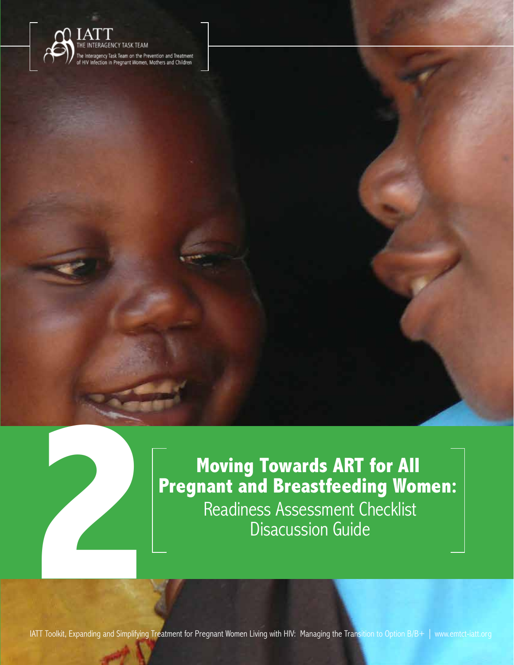



**22 Moving Towards ART for All Pregnant and Breastfeeding Won**<br>Readiness Assessment Checklist<br>Disacussion Guide **Pregnant and Breastfeeding Women:**  Readiness Assessment Checklist Disacussion Guide

Moving Towards ART for All Pregnant and Breastfeeding Women: Readiness Assessment Checklist Discussion Guide

**2**

**39** IATT Toolkit, Expanding and Simplifying Treatment for Pregnant Women Living with HIV: Managing the Transition to Option B/B+ | www.emtct-iatt.org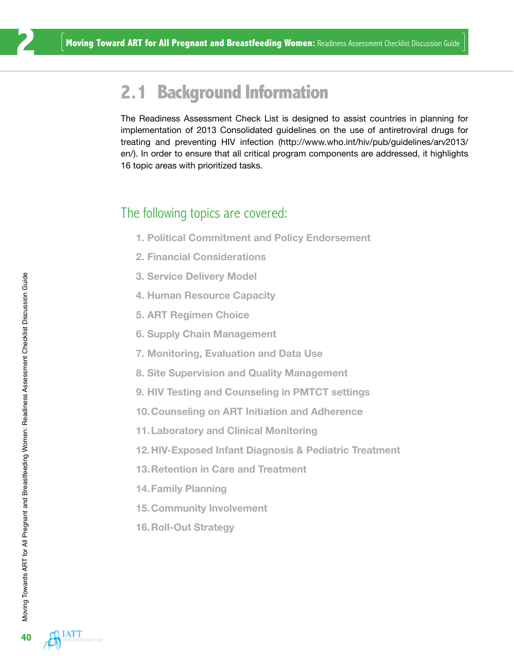#### **2.1 Background Information**

The Readiness Assessment Check List is designed to assist countries in planning for implementation of 2013 Consolidated guidelines on the use of antiretroviral drugs for treating and preventing HIV infection (http://www.who.int/hiv/pub/guidelines/arv2013/ en/). In order to ensure that all critical program components are addressed, it highlights 16 topic areas with prioritized tasks.

#### The following topics are covered:

- **1. Political Commitment and Policy Endorsement**
- **2. Financial Considerations**
- **3. Service Delivery Model**
- **4. Human Resource Capacity**
- **5. ART Regimen Choice**
- **6. Supply Chain Management**
- **7. Monitoring, Evaluation and Data Use**
- **8. Site Supervision and Quality Management**
- **9. HIV Testing and Counseling in PMTCT settings**
- **10.Counseling on ART Initiation and Adherence**
- **11.Laboratory and Clinical Monitoring**
- **12.HIV-Exposed Infant Diagnosis & Pediatric Treatment**
- **13.Retention in Care and Treatment**
- **14.Family Planning**
- **15.Community Involvement**
- **16.Roll-Out Strategy**

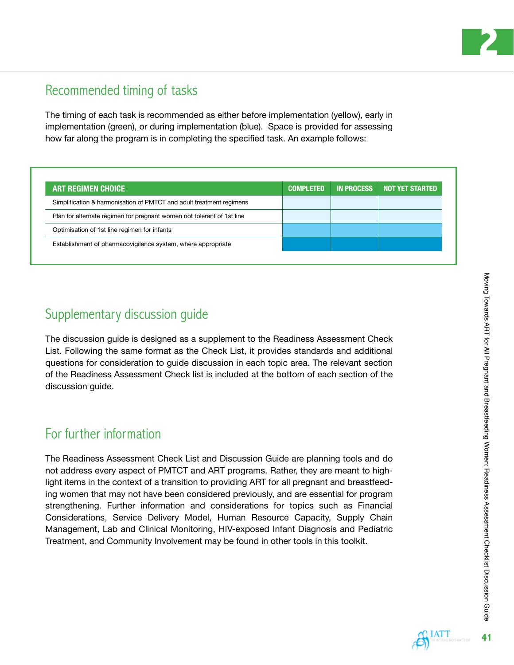

#### Recommended timing of tasks

The timing of each task is recommended as either before implementation (yellow), early in implementation (green), or during implementation (blue). Space is provided for assessing how far along the program is in completing the specified task. An example follows:

| <b>ART REGIMEN CHOICE</b>                                              | <b>COMPLETED</b> | <b>IN PROCESS</b> | <b>NOT YET STARTED</b> |
|------------------------------------------------------------------------|------------------|-------------------|------------------------|
| Simplification & harmonisation of PMTCT and adult treatment regimens   |                  |                   |                        |
| Plan for alternate regimen for pregnant women not tolerant of 1st line |                  |                   |                        |
| Optimisation of 1st line regimen for infants                           |                  |                   |                        |
| Establishment of pharmacovigilance system, where appropriate           |                  |                   |                        |

#### Supplementary discussion guide

The discussion guide is designed as a supplement to the Readiness Assessment Check List. Following the same format as the Check List, it provides standards and additional questions for consideration to guide discussion in each topic area. The relevant section of the Readiness Assessment Check list is included at the bottom of each section of the discussion guide.

#### For further information

The Readiness Assessment Check List and Discussion Guide are planning tools and do not address every aspect of PMTCT and ART programs. Rather, they are meant to highlight items in the context of a transition to providing ART for all pregnant and breastfeeding women that may not have been considered previously, and are essential for program strengthening. Further information and considerations for topics such as Financial Considerations, Service Delivery Model, Human Resource Capacity, Supply Chain Management, Lab and Clinical Monitoring, HIV-exposed Infant Diagnosis and Pediatric Treatment, and Community Involvement may be found in other tools in this toolkit.

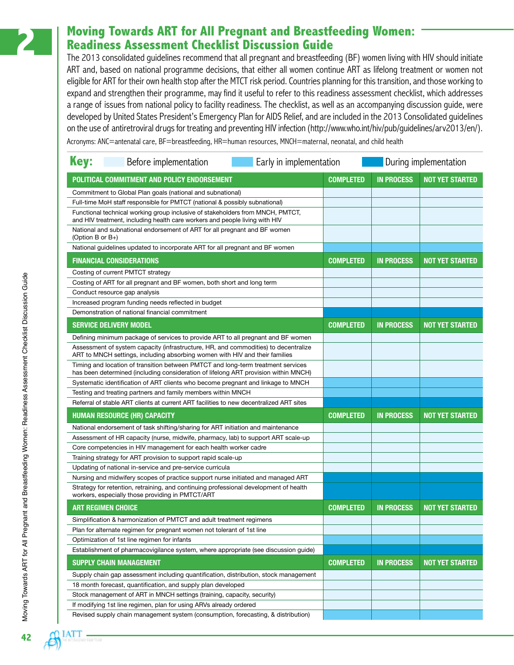#### **2 Moving Towards ART for All Pregnant and Breastfeeding Women: Readiness Assessment Checklist Discussion Guide**

The 2013 consolidated guidelines recommend that all pregnant and breastfeeding (BF) women living with HIV should initiate ART and, based on national programme decisions, that either all women continue ART as lifelong treatment or women not eligible for ART for their own health stop after the MTCT risk period. Countries planning for this transition, and those working to expand and strengthen their programme, may find it useful to refer to this readiness assessment checklist, which addresses a range of issues from national policy to facility readiness. The checklist, as well as an accompanying discussion guide, were developed by United States President's Emergency Plan for AIDS Relief, and are included in the 2013 Consolidated guidelines on the use of antiretroviral drugs for treating and preventing HIV infection [\(http://www.who.int/hiv/pub/guidelines/arv2013/en/\)](http://www.who.int/hiv/pub/guidelines/arv2013/en/). Acronyms: ANC=antenatal care, BF=breastfeeding, HR=human resources, MNCH=maternal, neonatal, and child health

| <b>Key:</b><br>Before implementation<br>Early in implementation                                                                                                         |                  |                   | During implementation  |
|-------------------------------------------------------------------------------------------------------------------------------------------------------------------------|------------------|-------------------|------------------------|
| POLITICAL COMMITMENT AND POLICY ENDORSEMENT                                                                                                                             | <b>COMPLETED</b> | <b>IN PROCESS</b> | <b>NOT YET STARTED</b> |
| Commitment to Global Plan goals (national and subnational)                                                                                                              |                  |                   |                        |
| Full-time MoH staff responsible for PMTCT (national & possibly subnational)                                                                                             |                  |                   |                        |
| Functional technical working group inclusive of stakeholders from MNCH, PMTCT,<br>and HIV treatment, including health care workers and people living with HIV           |                  |                   |                        |
| National and subnational endorsement of ART for all pregnant and BF women<br>(Option B or $B_{+}$ )                                                                     |                  |                   |                        |
| National quidelines updated to incorporate ART for all pregnant and BF women                                                                                            |                  |                   |                        |
| <b>FINANCIAL CONSIDERATIONS</b>                                                                                                                                         | <b>COMPLETED</b> | <b>IN PROCESS</b> | <b>NOT YET STARTED</b> |
| Costing of current PMTCT strategy                                                                                                                                       |                  |                   |                        |
| Costing of ART for all pregnant and BF women, both short and long term                                                                                                  |                  |                   |                        |
| Conduct resource gap analysis                                                                                                                                           |                  |                   |                        |
| Increased program funding needs reflected in budget                                                                                                                     |                  |                   |                        |
| Demonstration of national financial commitment                                                                                                                          |                  |                   |                        |
| <b>SERVICE DELIVERY MODEL</b>                                                                                                                                           | <b>COMPLETED</b> | <b>IN PROCESS</b> | <b>NOT YET STARTED</b> |
| Defining minimum package of services to provide ART to all pregnant and BF women                                                                                        |                  |                   |                        |
| Assessment of system capacity (infrastructure, HR, and commodities) to decentralize<br>ART to MNCH settings, including absorbing women with HIV and their families      |                  |                   |                        |
| Timing and location of transition between PMTCT and long-term treatment services<br>has been determined (including consideration of lifelong ART provision within MNCH) |                  |                   |                        |
| Systematic identification of ART clients who become pregnant and linkage to MNCH                                                                                        |                  |                   |                        |
| Testing and treating partners and family members within MNCH                                                                                                            |                  |                   |                        |
| Referral of stable ART clients at current ART facilities to new decentralized ART sites                                                                                 |                  |                   |                        |
| <b>HUMAN RESOURCE (HR) CAPACITY</b>                                                                                                                                     | <b>COMPLETED</b> | <b>IN PROCESS</b> | <b>NOT YET STARTED</b> |
| National endorsement of task shifting/sharing for ART initiation and maintenance                                                                                        |                  |                   |                        |
| Assessment of HR capacity (nurse, midwife, pharmacy, lab) to support ART scale-up                                                                                       |                  |                   |                        |
| Core competencies in HIV management for each health worker cadre                                                                                                        |                  |                   |                        |
| Training strategy for ART provision to support rapid scale-up                                                                                                           |                  |                   |                        |
| Updating of national in-service and pre-service curricula                                                                                                               |                  |                   |                        |
| Nursing and midwifery scopes of practice support nurse initiated and managed ART                                                                                        |                  |                   |                        |
| Strategy for retention, retraining, and continuing professional development of health<br>workers, especially those providing in PMTCT/ART                               |                  |                   |                        |
| <b>ART REGIMEN CHOICE</b>                                                                                                                                               | <b>COMPLETED</b> | <b>IN PROCESS</b> | <b>NOT YET STARTED</b> |
| Simplification & harmonization of PMTCT and adult treatment regimens                                                                                                    |                  |                   |                        |
| Plan for alternate regimen for pregnant women not tolerant of 1st line                                                                                                  |                  |                   |                        |
| Optimization of 1st line regimen for infants                                                                                                                            |                  |                   |                        |
| Establishment of pharmacovigilance system, where appropriate (see discussion guide)                                                                                     |                  |                   |                        |
| <b>SUPPLY CHAIN MANAGEMENT</b>                                                                                                                                          | <b>COMPLETED</b> | <b>IN PROCESS</b> | <b>NOT YET STARTED</b> |
| Supply chain gap assessment including quantification, distribution, stock management                                                                                    |                  |                   |                        |
| 18 month forecast, quantification, and supply plan developed                                                                                                            |                  |                   |                        |
| Stock management of ART in MNCH settings (training, capacity, security)                                                                                                 |                  |                   |                        |
| If modifying 1st line regimen, plan for using ARVs already ordered                                                                                                      |                  |                   |                        |
| Revised supply chain management system (consumption, forecasting, & distribution)                                                                                       |                  |                   |                        |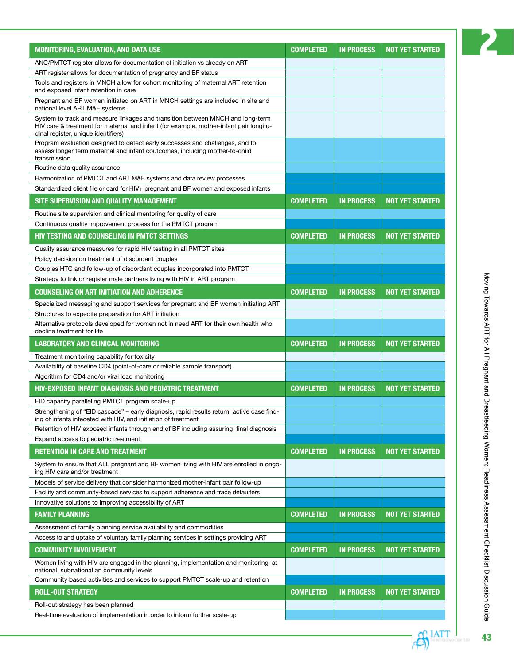| <b>MONITORING, EVALUATION, AND DATA USE</b>                                                                                                                                                                     | <b>COMPLETED</b> | <b>IN PROCESS</b> | <b>NOT YET STARTED</b> |
|-----------------------------------------------------------------------------------------------------------------------------------------------------------------------------------------------------------------|------------------|-------------------|------------------------|
| ANC/PMTCT register allows for documentation of initiation vs already on ART                                                                                                                                     |                  |                   |                        |
| ART register allows for documentation of pregnancy and BF status                                                                                                                                                |                  |                   |                        |
| Tools and registers in MNCH allow for cohort monitoring of maternal ART retention<br>and exposed infant retention in care                                                                                       |                  |                   |                        |
| Pregnant and BF women initiated on ART in MNCH settings are included in site and<br>national level ART M&E systems                                                                                              |                  |                   |                        |
| System to track and measure linkages and transition between MNCH and long-term<br>HIV care & treatment for maternal and infant (for example, mother-infant pair longitu-<br>dinal register, unique identifiers) |                  |                   |                        |
| Program evaluation designed to detect early successes and challenges, and to<br>assess longer term maternal and infant coutcomes, including mother-to-child<br>transmission.                                    |                  |                   |                        |
| Routine data quality assurance                                                                                                                                                                                  |                  |                   |                        |
| Harmonization of PMTCT and ART M&E systems and data review processes                                                                                                                                            |                  |                   |                        |
| Standardized client file or card for HIV+ pregnant and BF women and exposed infants                                                                                                                             |                  |                   |                        |
| SITE SUPERVISION AND QUALITY MANAGEMENT                                                                                                                                                                         | <b>COMPLETED</b> | <b>IN PROCESS</b> | <b>NOT YET STARTED</b> |
| Routine site supervision and clinical mentoring for quality of care                                                                                                                                             |                  |                   |                        |
| Continuous quality improvement process for the PMTCT program                                                                                                                                                    |                  |                   |                        |
| <b>HIV TESTING AND COUNSELING IN PMTCT SETTINGS</b>                                                                                                                                                             | <b>COMPLETED</b> | <b>IN PROCESS</b> | <b>NOT YET STARTED</b> |
| Quality assurance measures for rapid HIV testing in all PMTCT sites                                                                                                                                             |                  |                   |                        |
| Policy decision on treatment of discordant couples                                                                                                                                                              |                  |                   |                        |
| Couples HTC and follow-up of discordant couples incorporated into PMTCT                                                                                                                                         |                  |                   |                        |
| Strategy to link or register male partners living with HIV in ART program                                                                                                                                       |                  |                   |                        |
| <b>COUNSELING ON ART INITIATION AND ADHERENCE</b>                                                                                                                                                               | <b>COMPLETED</b> | <b>IN PROCESS</b> | <b>NOT YET STARTED</b> |
| Specialized messaging and support services for pregnant and BF women initiating ART                                                                                                                             |                  |                   |                        |
| Structures to expedite preparation for ART initiation                                                                                                                                                           |                  |                   |                        |
| Alternative protocols developed for women not in need ART for their own health who<br>decline treatment for life                                                                                                |                  |                   |                        |
| <b>LABORATORY AND CLINICAL MONITORING</b>                                                                                                                                                                       | <b>COMPLETED</b> | <b>IN PROCESS</b> | <b>NOT YET STARTED</b> |
| Treatment monitoring capability for toxicity                                                                                                                                                                    |                  |                   |                        |
| Availability of baseline CD4 (point-of-care or reliable sample transport)                                                                                                                                       |                  |                   |                        |
| Algorithm for CD4 and/or viral load monitoring                                                                                                                                                                  |                  |                   |                        |
| <b>HIV-EXPOSED INFANT DIAGNOSIS AND PEDIATRIC TREATMENT</b>                                                                                                                                                     | <b>COMPLETED</b> | <b>IN PROCESS</b> | <b>NOT YET STARTED</b> |
| EID capacity paralleling PMTCT program scale-up                                                                                                                                                                 |                  |                   |                        |
| Strengthening of "EID cascade" - early diagnosis, rapid results return, active case find-<br>ing of infants infeceted with HIV, and initiation of treatment                                                     |                  |                   |                        |
| Retention of HIV exposed infants through end of BF including assuring final diagnosis                                                                                                                           |                  |                   |                        |
| Expand access to pediatric treatment                                                                                                                                                                            |                  |                   |                        |
| <b>RETENTION IN CARE AND TREATMENT</b>                                                                                                                                                                          | <b>COMPLETED</b> | <b>IN PROCESS</b> | <b>NOT YET STARTED</b> |
| System to ensure that ALL pregnant and BF women living with HIV are enrolled in ongo-<br>ing HIV care and/or treatment                                                                                          |                  |                   |                        |
| Models of service delivery that consider harmonized mother-infant pair follow-up                                                                                                                                |                  |                   |                        |
| Facility and community-based services to support adherence and trace defaulters                                                                                                                                 |                  |                   |                        |
| Innovative solutions to improving accessibility of ART                                                                                                                                                          |                  |                   |                        |
| <b>FAMILY PLANNING</b>                                                                                                                                                                                          | <b>COMPLETED</b> | <b>IN PROCESS</b> | <b>NOT YET STARTED</b> |
| Assessment of family planning service availability and commodities                                                                                                                                              |                  |                   |                        |
| Access to and uptake of voluntary family planning services in settings providing ART                                                                                                                            |                  |                   |                        |
| <b>COMMUNITY INVOLVEMENT</b>                                                                                                                                                                                    | <b>COMPLETED</b> | <b>IN PROCESS</b> | <b>NOT YET STARTED</b> |
| Women living with HIV are engaged in the planning, implementation and monitoring at<br>national, subnational an community levels                                                                                |                  |                   |                        |
| Community based activities and services to support PMTCT scale-up and retention                                                                                                                                 |                  |                   |                        |
| <b>ROLL-OUT STRATEGY</b>                                                                                                                                                                                        | <b>COMPLETED</b> | <b>IN PROCESS</b> | <b>NOT YET STARTED</b> |
| Roll-out strategy has been planned                                                                                                                                                                              |                  |                   |                        |
| Real-time evaluation of implementation in order to inform further scale-up                                                                                                                                      |                  |                   |                        |

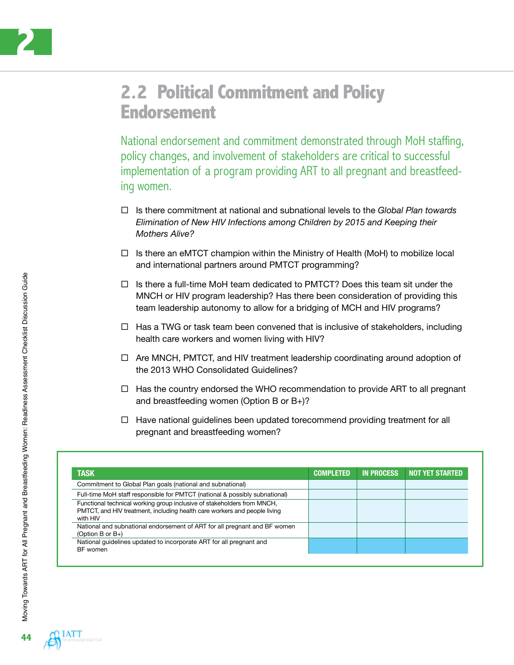

#### **2.2 Political Commitment and Policy Endorsement**

National endorsement and commitment demonstrated through MoH staffing, policy changes, and involvement of stakeholders are critical to successful implementation of a program providing ART to all pregnant and breastfeeding women.

- Is there commitment at national and subnational levels to the *Global Plan towards Elimination of New HIV Infections among Children by 2015 and Keeping their Mothers Alive?*
- $\Box$  Is there an eMTCT champion within the Ministry of Health (MoH) to mobilize local and international partners around PMTCT programming?
- $\Box$  Is there a full-time MoH team dedicated to PMTCT? Does this team sit under the MNCH or HIV program leadership? Has there been consideration of providing this team leadership autonomy to allow for a bridging of MCH and HIV programs?
- $\Box$  Has a TWG or task team been convened that is inclusive of stakeholders, including health care workers and women living with HIV?
- $\Box$  Are MNCH, PMTCT, and HIV treatment leadership coordinating around adoption of the 2013 WHO Consolidated Guidelines?
- $\Box$  Has the country endorsed the WHO recommendation to provide ART to all pregnant and breastfeeding women (Option B or B+)?
- $\Box$  Have national guidelines been updated torecommend providing treatment for all pregnant and breastfeeding women?

| <b>TASK</b>                                                                                                                                                      | <b>COMPLETED</b> | <b>IN PROCESS</b> | <b>NOT YET STARTED</b> |
|------------------------------------------------------------------------------------------------------------------------------------------------------------------|------------------|-------------------|------------------------|
| Commitment to Global Plan goals (national and subnational)                                                                                                       |                  |                   |                        |
| Full-time MoH staff responsible for PMTCT (national & possibly subnational)                                                                                      |                  |                   |                        |
| Functional technical working group inclusive of stakeholders from MNCH,<br>PMTCT, and HIV treatment, including health care workers and people living<br>with HIV |                  |                   |                        |
| National and subnational endorsement of ART for all pregnant and BF women<br>(Option B or $B_{+}$ )                                                              |                  |                   |                        |
| National quidelines updated to incorporate ART for all pregnant and<br><b>BF</b> women                                                                           |                  |                   |                        |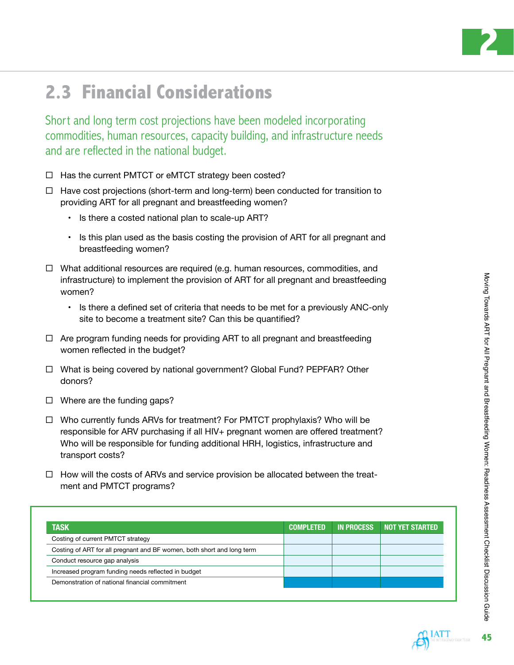

# **2.3 Financial Considerations**

Short and long term cost projections have been modeled incorporating commodities, human resources, capacity building, and infrastructure needs and are reflected in the national budget.

- $\Box$  Has the current PMTCT or eMTCT strategy been costed?
- $\Box$  Have cost projections (short-term and long-term) been conducted for transition to providing ART for all pregnant and breastfeeding women?
	- Is there a costed national plan to scale-up ART?
	- Is this plan used as the basis costing the provision of ART for all pregnant and breastfeeding women?
- $\Box$  What additional resources are required (e.g. human resources, commodities, and infrastructure) to implement the provision of ART for all pregnant and breastfeeding women?
	- Is there a defined set of criteria that needs to be met for a previously ANC-only site to become a treatment site? Can this be quantified?
- $\Box$  Are program funding needs for providing ART to all pregnant and breastfeeding women reflected in the budget?
- □ What is being covered by national government? Global Fund? PEPFAR? Other donors?
- $\Box$  Where are the funding gaps?
- □ Who currently funds ARVs for treatment? For PMTCT prophylaxis? Who will be responsible for ARV purchasing if all HIV+ pregnant women are offered treatment? Who will be responsible for funding additional HRH, logistics, infrastructure and transport costs?
- $\Box$  How will the costs of ARVs and service provision be allocated between the treatment and PMTCT programs?

| <b>TASK</b>                                                            | <b>COMPLETED</b> | <b>IN PROCESS</b> | NOT YET STARTED |
|------------------------------------------------------------------------|------------------|-------------------|-----------------|
| Costing of current PMTCT strategy                                      |                  |                   |                 |
| Costing of ART for all pregnant and BF women, both short and long term |                  |                   |                 |
| Conduct resource gap analysis                                          |                  |                   |                 |
| Increased program funding needs reflected in budget                    |                  |                   |                 |
| Demonstration of national financial commitment                         |                  |                   |                 |

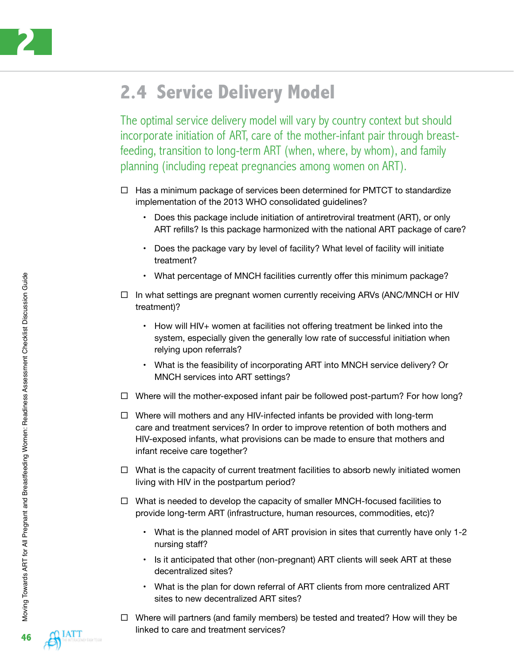

### **2.4 Service Delivery Model**

The optimal service delivery model will vary by country context but should incorporate initiation of ART, care of the mother-infant pair through breastfeeding, transition to long-term ART (when, where, by whom), and family planning (including repeat pregnancies among women on ART).

- $\Box$  Has a minimum package of services been determined for PMTCT to standardize implementation of the 2013 WHO consolidated guidelines?
	- Does this package include initiation of antiretroviral treatment (ART), or only ART refills? Is this package harmonized with the national ART package of care?
	- Does the package vary by level of facility? What level of facility will initiate treatment?
	- What percentage of MNCH facilities currently offer this minimum package?
- $\Box$  In what settings are pregnant women currently receiving ARVs (ANC/MNCH or HIV treatment)?
	- How will HIV+ women at facilities not offering treatment be linked into the system, especially given the generally low rate of successful initiation when relying upon referrals?
	- What is the feasibility of incorporating ART into MNCH service delivery? Or MNCH services into ART settings?
- $\Box$  Where will the mother-exposed infant pair be followed post-partum? For how long?
- $\Box$  Where will mothers and any HIV-infected infants be provided with long-term care and treatment services? In order to improve retention of both mothers and HIV-exposed infants, what provisions can be made to ensure that mothers and infant receive care together?
- $\Box$  What is the capacity of current treatment facilities to absorb newly initiated women living with HIV in the postpartum period?
- $\Box$  What is needed to develop the capacity of smaller MNCH-focused facilities to provide long-term ART (infrastructure, human resources, commodities, etc)?
	- What is the planned model of ART provision in sites that currently have only 1-2 nursing staff?
	- Is it anticipated that other (non-pregnant) ART clients will seek ART at these decentralized sites?
	- What is the plan for down referral of ART clients from more centralized ART sites to new decentralized ART sites?
- $\Box$  Where will partners (and family members) be tested and treated? How will they be linked to care and treatment services?

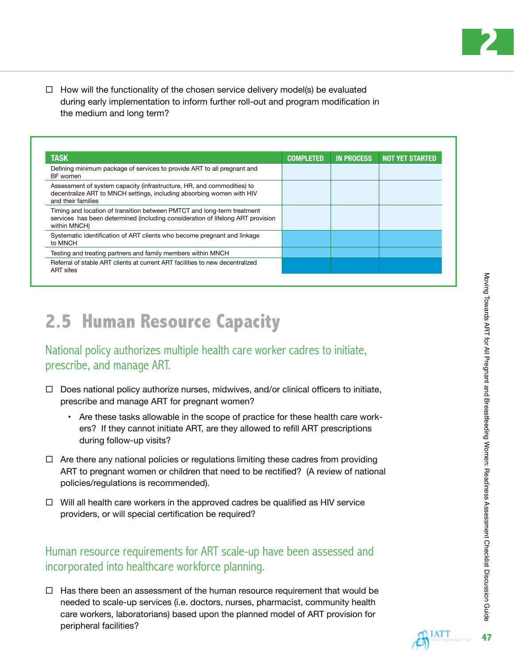**2**

 $\Box$  How will the functionality of the chosen service delivery model(s) be evaluated during early implementation to inform further roll-out and program modification in the medium and long term?

| <b>TASK</b>                                                                                                                                                                | <b>COMPLETED</b> | <b>IN PROCESS</b> | <b>NOT YET STARTED</b> |
|----------------------------------------------------------------------------------------------------------------------------------------------------------------------------|------------------|-------------------|------------------------|
| Defining minimum package of services to provide ART to all pregnant and<br>BF women                                                                                        |                  |                   |                        |
| Assessment of system capacity (infrastructure, HR, and commodities) to<br>decentralize ART to MNCH settings, including absorbing women with HIV<br>and their families      |                  |                   |                        |
| Timing and location of transition between PMTCT and long-term treatment<br>services has been determined (including consideration of lifelong ART provision<br>within MNCH) |                  |                   |                        |
| Systematic identification of ART clients who become pregnant and linkage<br>to MNCH                                                                                        |                  |                   |                        |
| Testing and treating partners and family members within MNCH                                                                                                               |                  |                   |                        |
| Referral of stable ART clients at current ART facilities to new decentralized<br><b>ART</b> sites                                                                          |                  |                   |                        |

## **2.5 Human Resource Capacity**

#### National policy authorizes multiple health care worker cadres to initiate, prescribe, and manage ART.

- $\Box$  Does national policy authorize nurses, midwives, and/or clinical officers to initiate, prescribe and manage ART for pregnant women?
	- Are these tasks allowable in the scope of practice for these health care workers? If they cannot initiate ART, are they allowed to refill ART prescriptions during follow-up visits?
- $\Box$  Are there any national policies or regulations limiting these cadres from providing ART to pregnant women or children that need to be rectified? (A review of national policies/regulations is recommended).
- $\Box$  Will all health care workers in the approved cadres be qualified as HIV service providers, or will special certification be required?

#### Human resource requirements for ART scale-up have been assessed and incorporated into healthcare workforce planning.

 $\Box$  Has there been an assessment of the human resource requirement that would be needed to scale-up services (i.e. doctors, nurses, pharmacist, community health care workers, laboratorians) based upon the planned model of ART provision for peripheral facilities?

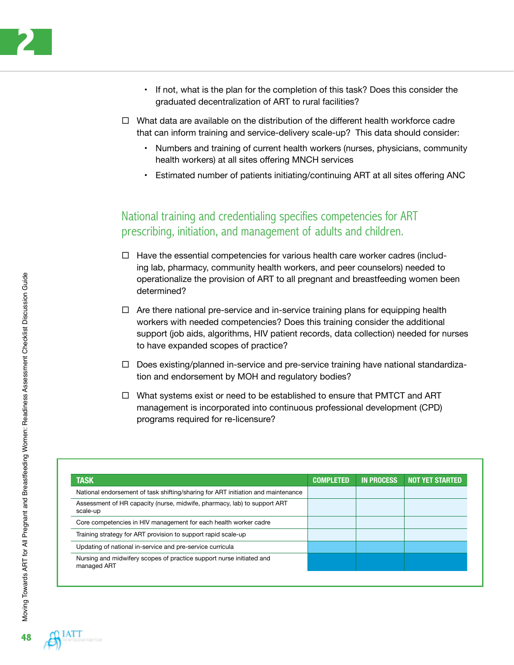- If not, what is the plan for the completion of this task? Does this consider the graduated decentralization of ART to rural facilities?
- $\Box$  What data are available on the distribution of the different health workforce cadre that can inform training and service-delivery scale-up? This data should consider:
	- Numbers and training of current health workers (nurses, physicians, community health workers) at all sites offering MNCH services
	- Estimated number of patients initiating/continuing ART at all sites offering ANC

#### National training and credentialing specifies competencies for ART prescribing, initiation, and management of adults and children.

- $\Box$  Have the essential competencies for various health care worker cadres (including lab, pharmacy, community health workers, and peer counselors) needed to operationalize the provision of ART to all pregnant and breastfeeding women been determined?
- $\Box$  Are there national pre-service and in-service training plans for equipping health workers with needed competencies? Does this training consider the additional support (job aids, algorithms, HIV patient records, data collection) needed for nurses to have expanded scopes of practice?
- $\Box$  Does existing/planned in-service and pre-service training have national standardization and endorsement by MOH and regulatory bodies?
- $\Box$  What systems exist or need to be established to ensure that PMTCT and ART management is incorporated into continuous professional development (CPD) programs required for re-licensure?

| <b>TASK</b>                                                                          | <b>COMPLETED</b> | <b>IN PROCESS</b> | <b>NOT YET STARTED</b> |
|--------------------------------------------------------------------------------------|------------------|-------------------|------------------------|
| National endorsement of task shifting/sharing for ART initiation and maintenance     |                  |                   |                        |
| Assessment of HR capacity (nurse, midwife, pharmacy, lab) to support ART<br>scale-up |                  |                   |                        |
| Core competencies in HIV management for each health worker cadre                     |                  |                   |                        |
| Training strategy for ART provision to support rapid scale-up                        |                  |                   |                        |
| Updating of national in-service and pre-service curricula                            |                  |                   |                        |
| Nursing and midwifery scopes of practice support nurse initiated and<br>managed ART  |                  |                   |                        |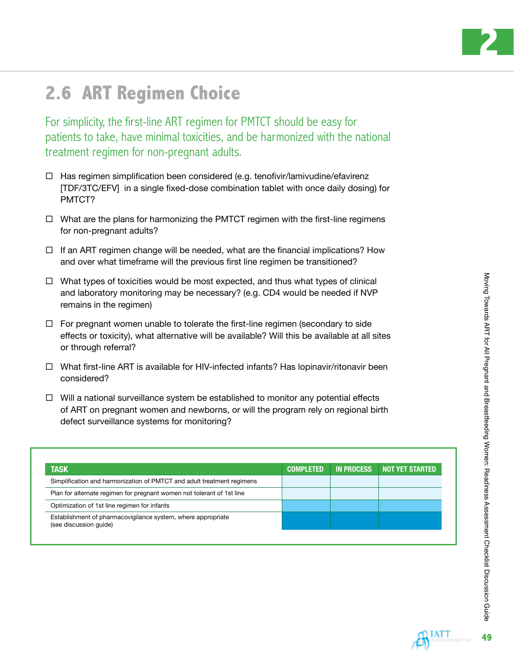

# **2.6 Art Regimen Choice**

For simplicity, the first-line ART regimen for PMTCT should be easy for patients to take, have minimal toxicities, and be harmonized with the national treatment regimen for non-pregnant adults.

- $\Box$  Has regimen simplification been considered (e.g. tenofivir/lamivudine/efavirenz [TDF/3TC/EFV] in a single fixed-dose combination tablet with once daily dosing) for PMTCT?
- $\Box$  What are the plans for harmonizing the PMTCT regimen with the first-line regimens for non-pregnant adults?
- $\Box$  If an ART regimen change will be needed, what are the financial implications? How and over what timeframe will the previous first line regimen be transitioned?
- $\Box$  What types of toxicities would be most expected, and thus what types of clinical and laboratory monitoring may be necessary? (e.g. CD4 would be needed if NVP remains in the regimen)
- $\Box$  For pregnant women unable to tolerate the first-line regimen (secondary to side effects or toxicity), what alternative will be available? Will this be available at all sites or through referral?
- $\Box$  What first-line ART is available for HIV-infected infants? Has lopinavir/ritonavir been considered?
- $\Box$  Will a national surveillance system be established to monitor any potential effects of ART on pregnant women and newborns, or will the program rely on regional birth defect surveillance systems for monitoring?

| <b>TASK</b>                                                                            | <b>COMPLETED</b> | <b>IN PROCESS</b> | <b>NOT YET STARTED</b> |
|----------------------------------------------------------------------------------------|------------------|-------------------|------------------------|
| Simplification and harmonization of PMTCT and adult treatment regimens                 |                  |                   |                        |
| Plan for alternate regimen for pregnant women not tolerant of 1st line                 |                  |                   |                        |
| Optimization of 1st line regimen for infants                                           |                  |                   |                        |
| Establishment of pharmacovigilance system, where appropriate<br>(see discussion quide) |                  |                   |                        |

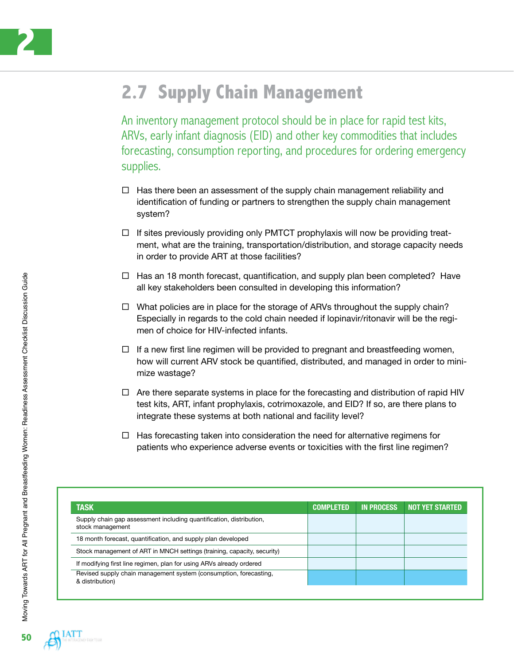

## **2.7 Supply Chain Management**

An inventory management protocol should be in place for rapid test kits, ARVs, early infant diagnosis (EID) and other key commodities that includes forecasting, consumption reporting, and procedures for ordering emergency supplies.

- $\Box$  Has there been an assessment of the supply chain management reliability and identification of funding or partners to strengthen the supply chain management system?
- $\Box$  If sites previously providing only PMTCT prophylaxis will now be providing treatment, what are the training, transportation/distribution, and storage capacity needs in order to provide ART at those facilities?
- $\Box$  Has an 18 month forecast, quantification, and supply plan been completed? Have all key stakeholders been consulted in developing this information?
- $\Box$  What policies are in place for the storage of ARVs throughout the supply chain? Especially in regards to the cold chain needed if lopinavir/ritonavir will be the regimen of choice for HIV-infected infants.
- $\Box$  If a new first line regimen will be provided to pregnant and breastfeeding women, how will current ARV stock be quantified, distributed, and managed in order to minimize wastage?
- $\Box$  Are there separate systems in place for the forecasting and distribution of rapid HIV test kits, ART, infant prophylaxis, cotrimoxazole, and EID? If so, are there plans to integrate these systems at both national and facility level?
- $\Box$  Has forecasting taken into consideration the need for alternative regimens for patients who experience adverse events or toxicities with the first line regimen?

| <b>TASK</b>                                                                             | <b>COMPLETED</b> | <b>IN PROCESS</b> | <b>NOT YET STARTED</b> |
|-----------------------------------------------------------------------------------------|------------------|-------------------|------------------------|
| Supply chain gap assessment including quantification, distribution,<br>stock management |                  |                   |                        |
| 18 month forecast, quantification, and supply plan developed                            |                  |                   |                        |
| Stock management of ART in MNCH settings (training, capacity, security)                 |                  |                   |                        |
| If modifying first line regimen, plan for using ARVs already ordered                    |                  |                   |                        |
| Revised supply chain management system (consumption, forecasting,<br>& distribution)    |                  |                   |                        |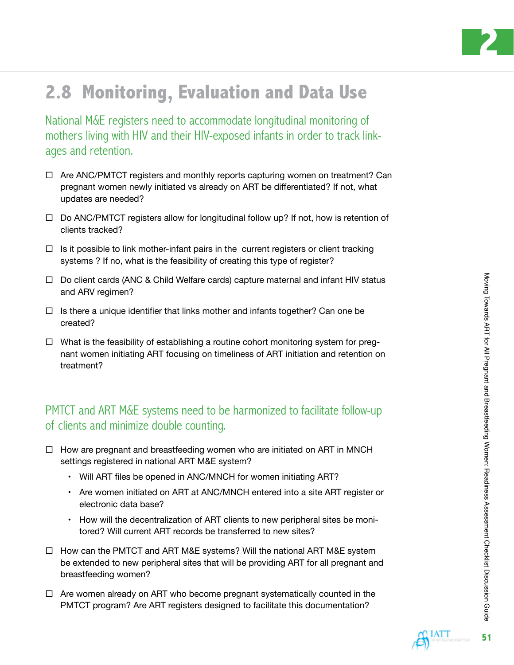

# **2.8 Monitoring, Evaluation and Data Use**

National M&E registers need to accommodate longitudinal monitoring of mothers living with HIV and their HIV-exposed infants in order to track linkages and retention.

- $\Box$  Are ANC/PMTCT registers and monthly reports capturing women on treatment? Can pregnant women newly initiated vs already on ART be differentiated? If not, what updates are needed?
- $\Box$  Do ANC/PMTCT registers allow for longitudinal follow up? If not, how is retention of clients tracked?
- $\Box$  Is it possible to link mother-infant pairs in the current registers or client tracking systems ? If no, what is the feasibility of creating this type of register?
- $\Box$  Do client cards (ANC & Child Welfare cards) capture maternal and infant HIV status and ARV regimen?
- $\Box$  Is there a unique identifier that links mother and infants together? Can one be created?
- $\Box$  What is the feasibility of establishing a routine cohort monitoring system for pregnant women initiating ART focusing on timeliness of ART initiation and retention on treatment?

#### PMTCT and ART M&E systems need to be harmonized to facilitate follow-up of clients and minimize double counting.

- $\Box$  How are pregnant and breastfeeding women who are initiated on ART in MNCH settings registered in national ART M&E system?
	- Will ART files be opened in ANC/MNCH for women initiating ART?
	- Are women initiated on ART at ANC/MNCH entered into a site ART register or electronic data base?
	- How will the decentralization of ART clients to new peripheral sites be monitored? Will current ART records be transferred to new sites?
- $\Box$  How can the PMTCT and ART M&E systems? Will the national ART M&E system be extended to new peripheral sites that will be providing ART for all pregnant and breastfeeding women?
- $\Box$  Are women already on ART who become pregnant systematically counted in the PMTCT program? Are ART registers designed to facilitate this documentation?

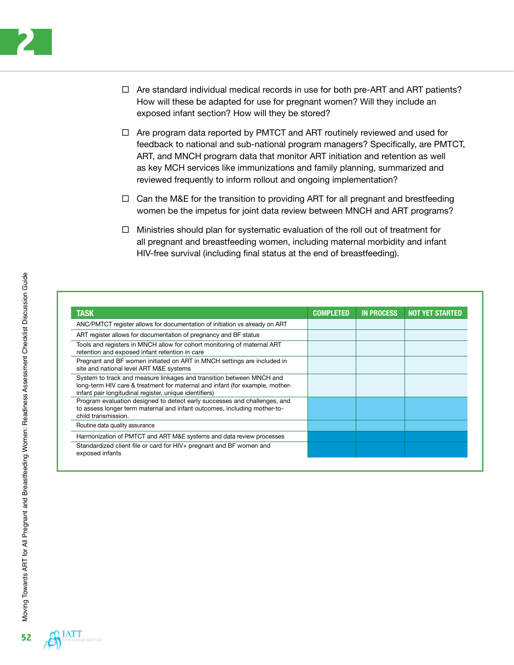- $\Box$  Are standard individual medical records in use for both pre-ART and ART patients? How will these be adapted for use for pregnant women? Will they include an exposed infant section? How will they be stored?
- $\Box$  Are program data reported by PMTCT and ART routinely reviewed and used for feedback to national and sub-national program managers? Specifically, are PMTCT, ART, and MNCH program data that monitor ART initiation and retention as well as key MCH services like immunizations and family planning, summarized and reviewed frequently to inform rollout and ongoing implementation?
- $\Box$  Can the M&E for the transition to providing ART for all pregnant and brestfeeding women be the impetus for joint data review between MNCH and ART programs?
- $\Box$  Ministries should plan for systematic evaluation of the roll out of treatment for all pregnant and breastfeeding women, including maternal morbidity and infant HIV-free survival (including final status at the end of breastfeeding).

| <b>TASK</b>                                                                                                                                                                                                    | <b>COMPLETED</b> | <b>IN PROCESS</b> | <b>NOT YET STARTED</b> |
|----------------------------------------------------------------------------------------------------------------------------------------------------------------------------------------------------------------|------------------|-------------------|------------------------|
| ANC/PMTCT register allows for documentation of initiation vs already on ART                                                                                                                                    |                  |                   |                        |
| ART register allows for documentation of pregnancy and BF status                                                                                                                                               |                  |                   |                        |
| Tools and registers in MNCH allow for cohort monitoring of maternal ART<br>retention and exposed infant retention in care                                                                                      |                  |                   |                        |
| Pregnant and BF women initiated on ART in MNCH settings are included in<br>site and national level ART M&E systems                                                                                             |                  |                   |                        |
| System to track and measure linkages and transition between MNCH and<br>long-term HIV care & treatment for maternal and infant (for example, mother-<br>infant pair longitudinal register, unique identifiers) |                  |                   |                        |
| Program evaluation designed to detect early successes and challenges, and<br>to assess longer term maternal and infant outcomes, including mother-to-<br>child transmission.                                   |                  |                   |                        |
| Routine data quality assurance                                                                                                                                                                                 |                  |                   |                        |
| Harmonization of PMTCT and ART M&E systems and data review processes                                                                                                                                           |                  |                   |                        |
| Standardized client file or card for HIV+ pregnant and BF women and<br>exposed infants                                                                                                                         |                  |                   |                        |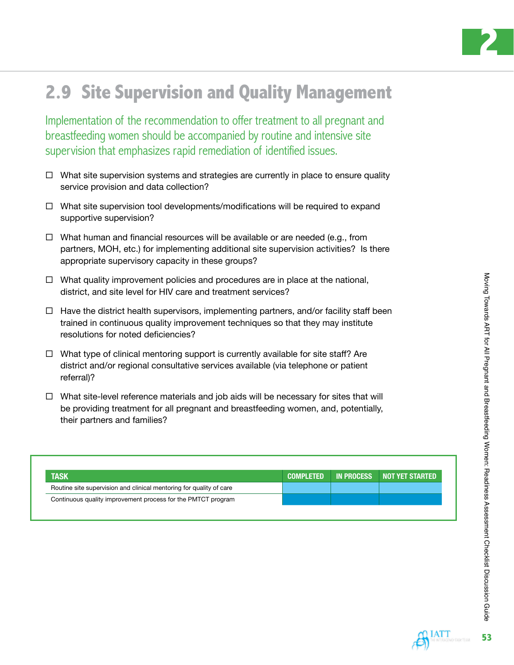

# **2.9 Site Supervision and Quality Management**

Implementation of the recommendation to offer treatment to all pregnant and breastfeeding women should be accompanied by routine and intensive site supervision that emphasizes rapid remediation of identified issues.

- $\Box$  What site supervision systems and strategies are currently in place to ensure quality service provision and data collection?
- $\Box$  What site supervision tool developments/modifications will be required to expand supportive supervision?
- $\Box$  What human and financial resources will be available or are needed (e.g., from partners, MOH, etc.) for implementing additional site supervision activities? Is there appropriate supervisory capacity in these groups?
- $\Box$  What quality improvement policies and procedures are in place at the national, district, and site level for HIV care and treatment services?
- $\Box$  Have the district health supervisors, implementing partners, and/or facility staff been trained in continuous quality improvement techniques so that they may institute resolutions for noted deficiencies?
- $\Box$  What type of clinical mentoring support is currently available for site staff? Are district and/or regional consultative services available (via telephone or patient referral)?
- $\Box$  What site-level reference materials and job aids will be necessary for sites that will be providing treatment for all pregnant and breastfeeding women, and, potentially, their partners and families?

| <b>TASK</b>                                                         | <b>COMPLETED</b> | <b>IN PROCESS</b> | NOT YET STARTED |
|---------------------------------------------------------------------|------------------|-------------------|-----------------|
| Routine site supervision and clinical mentoring for quality of care |                  |                   |                 |
| Continuous quality improvement process for the PMTCT program        |                  |                   |                 |

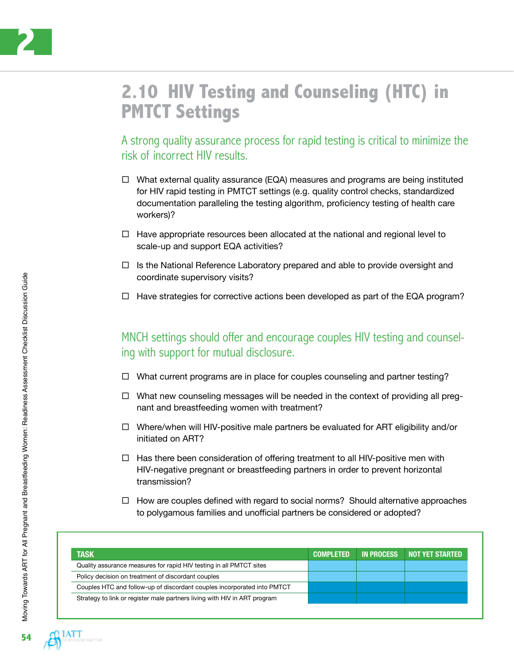

### **2.10 HIV Testing and Counseling (HTC) in PMTCT Settings**

A strong quality assurance process for rapid testing is critical to minimize the risk of incorrect HIV results.

- $\Box$  What external quality assurance (EQA) measures and programs are being instituted for HIV rapid testing in PMTCT settings (e.g. quality control checks, standardized documentation paralleling the testing algorithm, proficiency testing of health care workers)?
- $\Box$  Have appropriate resources been allocated at the national and regional level to scale-up and support EQA activities?
- $\Box$  Is the National Reference Laboratory prepared and able to provide oversight and coordinate supervisory visits?
- $\Box$  Have strategies for corrective actions been developed as part of the EQA program?

MNCH settings should offer and encourage couples HIV testing and counseling with support for mutual disclosure.

- $\Box$  What current programs are in place for couples counseling and partner testing?
- $\Box$  What new counseling messages will be needed in the context of providing all pregnant and breastfeeding women with treatment?
- $\Box$  Where/when will HIV-positive male partners be evaluated for ART eligibility and/or initiated on ART?
- $\Box$  Has there been consideration of offering treatment to all HIV-positive men with HIV-negative pregnant or breastfeeding partners in order to prevent horizontal transmission?
- $\Box$  How are couples defined with regard to social norms? Should alternative approaches to polygamous families and unofficial partners be considered or adopted?

| <b>TASK</b>                                                               | <b>COMPLETED</b> | <b>IN PROCESS</b> | NOT YET STARTED. |
|---------------------------------------------------------------------------|------------------|-------------------|------------------|
| Quality assurance measures for rapid HIV testing in all PMTCT sites       |                  |                   |                  |
| Policy decision on treatment of discordant couples                        |                  |                   |                  |
| Couples HTC and follow-up of discordant couples incorporated into PMTCT   |                  |                   |                  |
| Strategy to link or register male partners living with HIV in ART program |                  |                   |                  |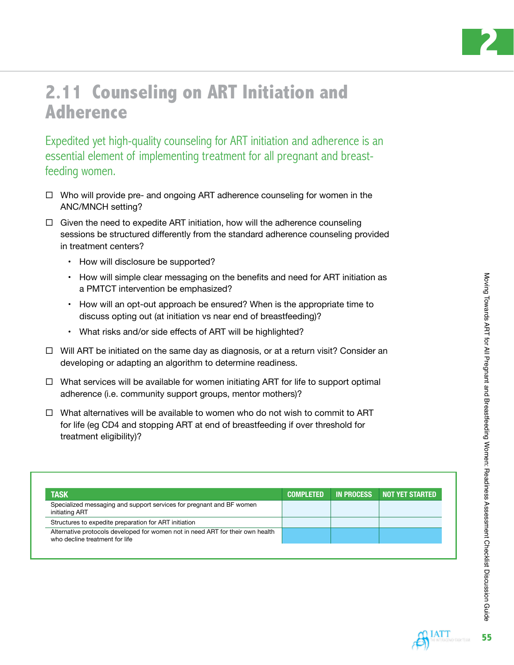

**55**

### **2.11 Counseling on ART Initiation and Adherence**

Expedited yet high-quality counseling for ART initiation and adherence is an essential element of implementing treatment for all pregnant and breastfeeding women.

- $\Box$  Who will provide pre- and ongoing ART adherence counseling for women in the ANC/MNCH setting?
- $\Box$  Given the need to expedite ART initiation, how will the adherence counseling sessions be structured differently from the standard adherence counseling provided in treatment centers?
	- How will disclosure be supported?
	- How will simple clear messaging on the benefits and need for ART initiation as a PMTCT intervention be emphasized?
	- How will an opt-out approach be ensured? When is the appropriate time to discuss opting out (at initiation vs near end of breastfeeding)?
	- What risks and/or side effects of ART will be highlighted?
- $\Box$  Will ART be initiated on the same day as diagnosis, or at a return visit? Consider an developing or adapting an algorithm to determine readiness.
- $\Box$  What services will be available for women initiating ART for life to support optimal adherence (i.e. community support groups, mentor mothers)?
- $\Box$  What alternatives will be available to women who do not wish to commit to ART for life (eg CD4 and stopping ART at end of breastfeeding if over threshold for treatment eligibility)?

| <b>TASK</b>                                                                                                      | <b>COMPLETED</b> | <b>IN PROCESS</b> | NOT YET STARTED |
|------------------------------------------------------------------------------------------------------------------|------------------|-------------------|-----------------|
| Specialized messaging and support services for pregnant and BF women<br>initiating ART                           |                  |                   |                 |
| Structures to expedite preparation for ART initiation                                                            |                  |                   |                 |
| Alternative protocols developed for women not in need ART for their own health<br>who decline treatment for life |                  |                   |                 |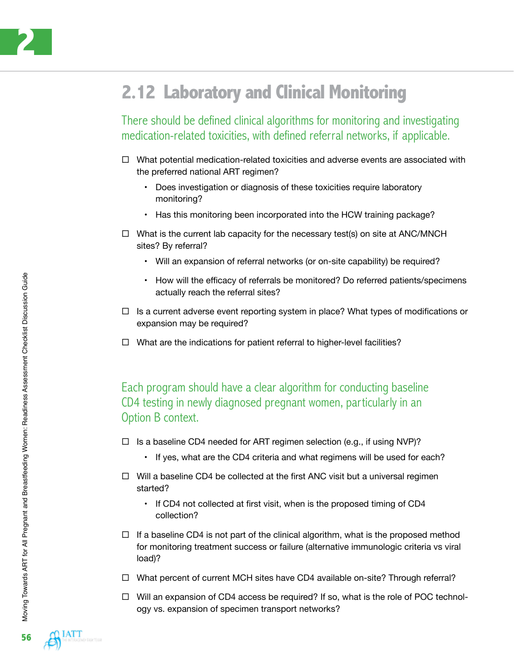

## **2.12 Laboratory and Clinical Monitoring**

There should be defined clinical algorithms for monitoring and investigating medication-related toxicities, with defined referral networks, if applicable.

- $\Box$  What potential medication-related toxicities and adverse events are associated with the preferred national ART regimen?
	- Does investigation or diagnosis of these toxicities require laboratory monitoring?
	- Has this monitoring been incorporated into the HCW training package?
- $\Box$  What is the current lab capacity for the necessary test(s) on site at ANC/MNCH sites? By referral?
	- Will an expansion of referral networks (or on-site capability) be required?
	- How will the efficacy of referrals be monitored? Do referred patients/specimens actually reach the referral sites?
- $\Box$  Is a current adverse event reporting system in place? What types of modifications or expansion may be required?
- $\Box$  What are the indications for patient referral to higher-level facilities?

Each program should have a clear algorithm for conducting baseline CD4 testing in newly diagnosed pregnant women, particularly in an Option B context.

- $\Box$  Is a baseline CD4 needed for ART regimen selection (e.g., if using NVP)?
	- If yes, what are the CD4 criteria and what regimens will be used for each?
- $\Box$  Will a baseline CD4 be collected at the first ANC visit but a universal regimen started?
	- If CD4 not collected at first visit, when is the proposed timing of CD4 collection?
- $\Box$  If a baseline CD4 is not part of the clinical algorithm, what is the proposed method for monitoring treatment success or failure (alternative immunologic criteria vs viral load)?
- $\Box$  What percent of current MCH sites have CD4 available on-site? Through referral?
- $\Box$  Will an expansion of CD4 access be required? If so, what is the role of POC technology vs. expansion of specimen transport networks?

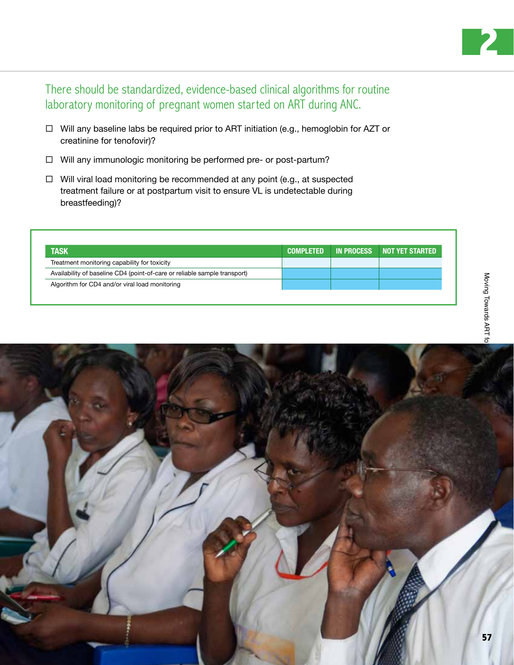

There should be standardized, evidence-based clinical algorithms for routine laboratory monitoring of pregnant women started on ART during ANC.

- $\Box$  Will any baseline labs be required prior to ART initiation (e.g., hemoglobin for AZT or creatinine for tenofovir)?
- □ Will any immunologic monitoring be performed pre- or post-partum?
- $\Box$  Will viral load monitoring be recommended at any point (e.g., at suspected treatment failure or at postpartum visit to ensure VL is undetectable during breastfeeding)?

| <b>TASK</b>                                                               | <b>COMPLETED</b> | IN PROCESS | NOT YET STARTED |
|---------------------------------------------------------------------------|------------------|------------|-----------------|
| Treatment monitoring capability for toxicity                              |                  |            |                 |
| Availability of baseline CD4 (point-of-care or reliable sample transport) |                  |            |                 |
| Algorithm for CD4 and/or viral load monitoring                            |                  |            |                 |

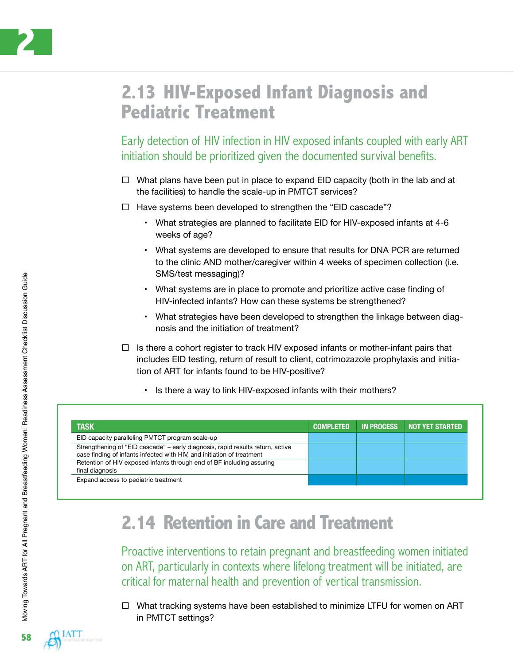

#### **2.13 HIV-Exposed Infant Diagnosis and Pediatric Treatment**

Early detection of HIV infection in HIV exposed infants coupled with early ART initiation should be prioritized given the documented survival benefits.

- $\Box$  What plans have been put in place to expand EID capacity (both in the lab and at the facilities) to handle the scale-up in PMTCT services?
- $\Box$  Have systems been developed to strengthen the "EID cascade"?
	- What strategies are planned to facilitate EID for HIV-exposed infants at 4-6 weeks of age?
	- What systems are developed to ensure that results for DNA PCR are returned to the clinic AND mother/caregiver within 4 weeks of specimen collection (i.e. SMS/test messaging)?
	- What systems are in place to promote and prioritize active case finding of HIV-infected infants? How can these systems be strengthened?
	- What strategies have been developed to strengthen the linkage between diagnosis and the initiation of treatment?
- $\Box$  Is there a cohort register to track HIV exposed infants or mother-infant pairs that includes EID testing, return of result to client, cotrimozazole prophylaxis and initiation of ART for infants found to be HIV-positive?
	- Is there a way to link HIV-exposed infants with their mothers?

| <b>TASK</b>                                                                                                                                              | <b>COMPLETED</b> | <b>IN PROCESS</b> | <b>NOT YET STARTED</b> |
|----------------------------------------------------------------------------------------------------------------------------------------------------------|------------------|-------------------|------------------------|
| EID capacity paralleling PMTCT program scale-up                                                                                                          |                  |                   |                        |
| Strengthening of "EID cascade" - early diagnosis, rapid results return, active<br>case finding of infants infected with HIV, and initiation of treatment |                  |                   |                        |
| Retention of HIV exposed infants through end of BF including assuring<br>final diagnosis                                                                 |                  |                   |                        |
| Expand access to pediatric treatment                                                                                                                     |                  |                   |                        |

### **2.14 Retention in Care and Treatment**

Proactive interventions to retain pregnant and breastfeeding women initiated on ART, particularly in contexts where lifelong treatment will be initiated, are critical for maternal health and prevention of vertical transmission.

□ What tracking systems have been established to minimize LTFU for women on ART in PMTCT settings?

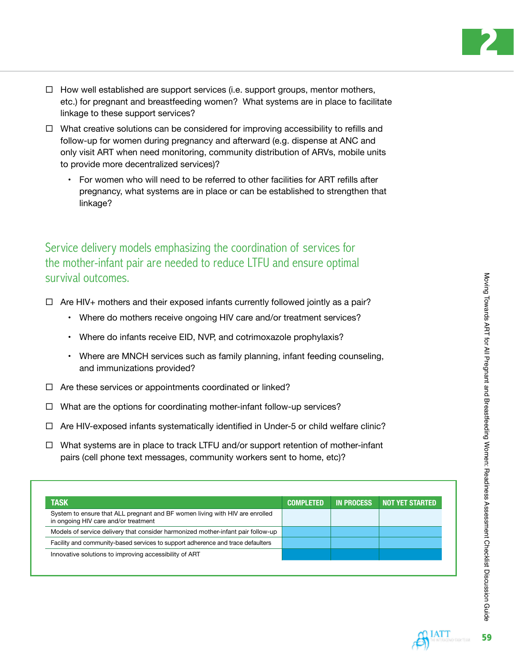- $\Box$  How well established are support services (i.e. support groups, mentor mothers, etc.) for pregnant and breastfeeding women? What systems are in place to facilitate linkage to these support services?
- $\Box$  What creative solutions can be considered for improving accessibility to refills and follow-up for women during pregnancy and afterward (e.g. dispense at ANC and only visit ART when need monitoring, community distribution of ARVs, mobile units to provide more decentralized services)?
	- For women who will need to be referred to other facilities for ART refills after pregnancy, what systems are in place or can be established to strengthen that linkage?

Service delivery models emphasizing the coordination of services for the mother-infant pair are needed to reduce LTFU and ensure optimal survival outcomes.

- $\Box$  Are HIV+ mothers and their exposed infants currently followed jointly as a pair?
	- Where do mothers receive ongoing HIV care and/or treatment services?
	- Where do infants receive EID, NVP, and cotrimoxazole prophylaxis?
	- Where are MNCH services such as family planning, infant feeding counseling, and immunizations provided?
- $\Box$  Are these services or appointments coordinated or linked?
- $\Box$  What are the options for coordinating mother-infant follow-up services?
- $\Box$  Are HIV-exposed infants systematically identified in Under-5 or child welfare clinic?
- $\Box$  What systems are in place to track LTFU and/or support retention of mother-infant pairs (cell phone text messages, community workers sent to home, etc)?

| <b>TASK</b>                                                                                                          | <b>COMPLETED</b> | <b>IN PROCESS</b> | <b>NOT YET STARTED</b> |
|----------------------------------------------------------------------------------------------------------------------|------------------|-------------------|------------------------|
| System to ensure that ALL pregnant and BF women living with HIV are enrolled<br>in ongoing HIV care and/or treatment |                  |                   |                        |
| Models of service delivery that consider harmonized mother-infant pair follow-up                                     |                  |                   |                        |
| Facility and community-based services to support adherence and trace defaulters                                      |                  |                   |                        |
| Innovative solutions to improving accessibility of ART                                                               |                  |                   |                        |

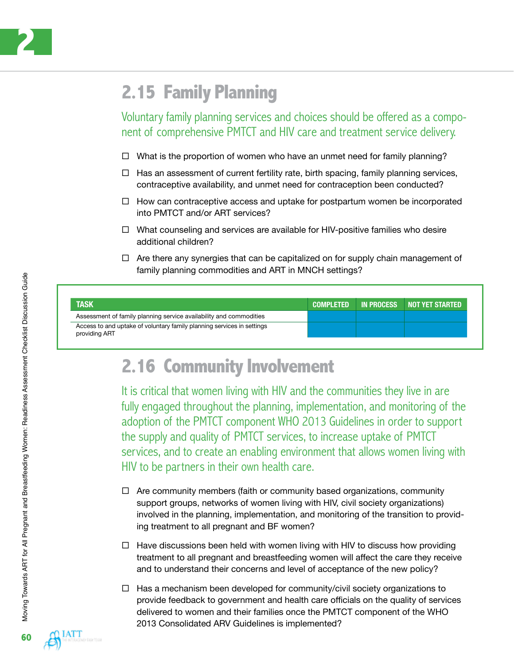

## **2.15 Family Planning**

Voluntary family planning services and choices should be offered as a component of comprehensive PMTCT and HIV care and treatment service delivery.

- $\Box$  What is the proportion of women who have an unmet need for family planning?
- $\Box$  Has an assessment of current fertility rate, birth spacing, family planning services, contraceptive availability, and unmet need for contraception been conducted?
- $\Box$  How can contraceptive access and uptake for postpartum women be incorporated into PMTCT and/or ART services?
- $\Box$  What counseling and services are available for HIV-positive families who desire additional children?
- $\Box$  Are there any synergies that can be capitalized on for supply chain management of family planning commodities and ART in MNCH settings?

| <b>TASK</b>                                                                             | <b>COMPLETED</b> | <b>IN PROCESS</b> | NOT YET STARTED |
|-----------------------------------------------------------------------------------------|------------------|-------------------|-----------------|
| Assessment of family planning service availability and commodities                      |                  |                   |                 |
| Access to and uptake of voluntary family planning services in settings<br>providing ART |                  |                   |                 |

#### **2.16 Community Involvement**

It is critical that women living with HIV and the communities they live in are fully engaged throughout the planning, implementation, and monitoring of the adoption of the PMTCT component WHO 2013 Guidelines in order to support the supply and quality of PMTCT services, to increase uptake of PMTCT services, and to create an enabling environment that allows women living with HIV to be partners in their own health care.

- $\Box$  Are community members (faith or community based organizations, community support groups, networks of women living with HIV, civil society organizations) involved in the planning, implementation, and monitoring of the transition to providing treatment to all pregnant and BF women?
- $\Box$  Have discussions been held with women living with HIV to discuss how providing treatment to all pregnant and breastfeeding women will affect the care they receive and to understand their concerns and level of acceptance of the new policy?
- $\Box$  Has a mechanism been developed for community/civil society organizations to provide feedback to government and health care officials on the quality of services delivered to women and their families once the PMTCT component of the WHO 2013 Consolidated ARV Guidelines is implemented?